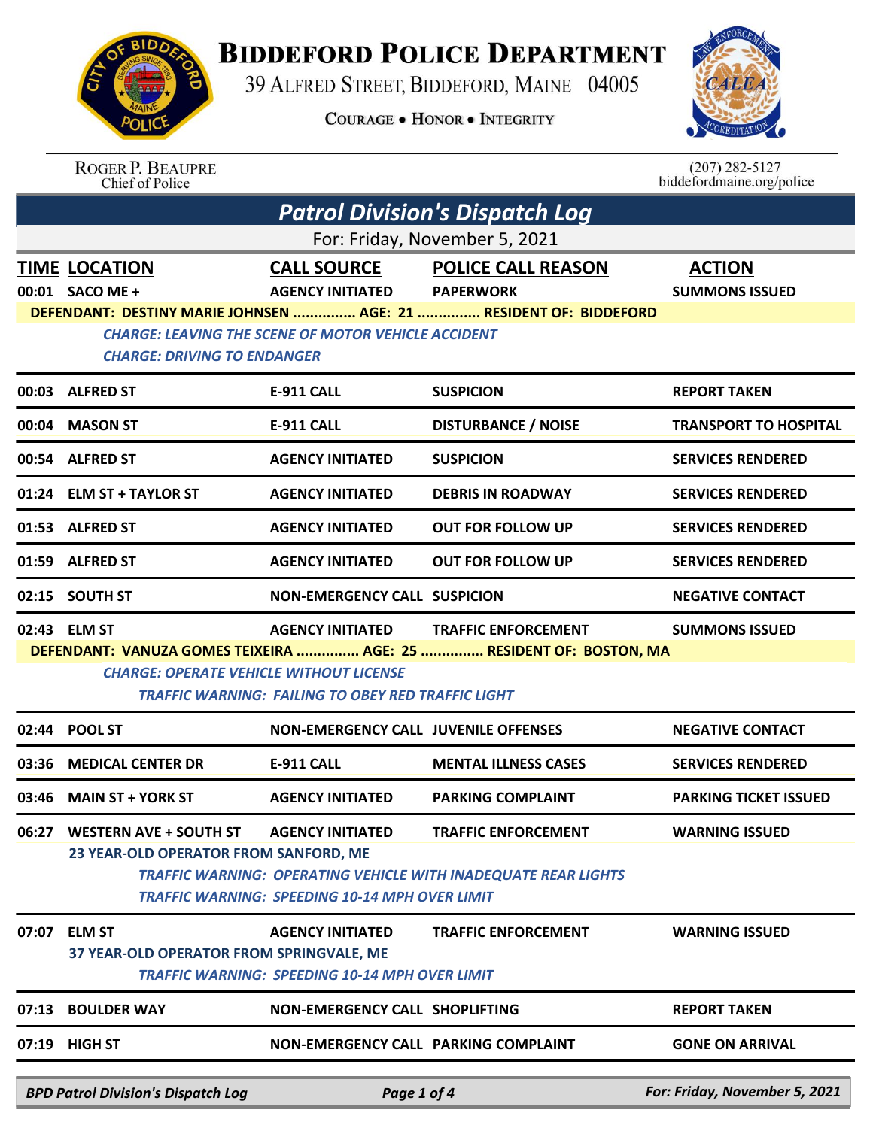## **BIDDEFORD POLICE DEPARTMENT**

39 ALFRED STREET, BIDDEFORD, MAINE 04005

**COURAGE . HONOR . INTEGRITY** 



ROGER P. BEAUPRE<br>Chief of Police

 $(207)$  282-5127<br>biddefordmaine.org/police

|                                                       | <b>Patrol Division's Dispatch Log</b>                                                                                           |                                                       |                                                                       |                               |  |  |
|-------------------------------------------------------|---------------------------------------------------------------------------------------------------------------------------------|-------------------------------------------------------|-----------------------------------------------------------------------|-------------------------------|--|--|
| For: Friday, November 5, 2021                         |                                                                                                                                 |                                                       |                                                                       |                               |  |  |
|                                                       | <b>TIME LOCATION</b>                                                                                                            | <b>CALL SOURCE</b>                                    | <b>POLICE CALL REASON</b>                                             | <b>ACTION</b>                 |  |  |
|                                                       | 00:01 SACO ME +                                                                                                                 | <b>AGENCY INITIATED</b>                               | <b>PAPERWORK</b>                                                      | <b>SUMMONS ISSUED</b>         |  |  |
|                                                       | DEFENDANT: DESTINY MARIE JOHNSEN  AGE: 21  RESIDENT OF: BIDDEFORD<br><b>CHARGE: LEAVING THE SCENE OF MOTOR VEHICLE ACCIDENT</b> |                                                       |                                                                       |                               |  |  |
|                                                       | <b>CHARGE: DRIVING TO ENDANGER</b>                                                                                              |                                                       |                                                                       |                               |  |  |
|                                                       | 00:03 ALFRED ST                                                                                                                 | <b>E-911 CALL</b>                                     | <b>SUSPICION</b>                                                      | <b>REPORT TAKEN</b>           |  |  |
|                                                       | 00:04 MASON ST                                                                                                                  | <b>E-911 CALL</b>                                     | <b>DISTURBANCE / NOISE</b>                                            | <b>TRANSPORT TO HOSPITAL</b>  |  |  |
|                                                       | 00:54 ALFRED ST                                                                                                                 | <b>AGENCY INITIATED</b>                               | <b>SUSPICION</b>                                                      | <b>SERVICES RENDERED</b>      |  |  |
|                                                       | 01:24 ELM ST + TAYLOR ST                                                                                                        | <b>AGENCY INITIATED</b>                               | <b>DEBRIS IN ROADWAY</b>                                              | <b>SERVICES RENDERED</b>      |  |  |
|                                                       | 01:53 ALFRED ST                                                                                                                 | <b>AGENCY INITIATED</b>                               | <b>OUT FOR FOLLOW UP</b>                                              | <b>SERVICES RENDERED</b>      |  |  |
|                                                       | 01:59 ALFRED ST                                                                                                                 | <b>AGENCY INITIATED</b>                               | <b>OUT FOR FOLLOW UP</b>                                              | <b>SERVICES RENDERED</b>      |  |  |
|                                                       | 02:15 SOUTH ST                                                                                                                  | <b>NON-EMERGENCY CALL SUSPICION</b>                   |                                                                       | <b>NEGATIVE CONTACT</b>       |  |  |
|                                                       | 02:43 ELM ST                                                                                                                    | <b>AGENCY INITIATED</b>                               | <b>TRAFFIC ENFORCEMENT</b>                                            | <b>SUMMONS ISSUED</b>         |  |  |
|                                                       |                                                                                                                                 |                                                       | DEFENDANT: VANUZA GOMES TEIXEIRA  AGE: 25  RESIDENT OF: BOSTON, MA    |                               |  |  |
|                                                       | <b>CHARGE: OPERATE VEHICLE WITHOUT LICENSE</b>                                                                                  | TRAFFIC WARNING: FAILING TO OBEY RED TRAFFIC LIGHT    |                                                                       |                               |  |  |
| 02:44                                                 | <b>POOL ST</b>                                                                                                                  | <b>NON-EMERGENCY CALL JUVENILE OFFENSES</b>           |                                                                       | <b>NEGATIVE CONTACT</b>       |  |  |
| 03:36                                                 | <b>MEDICAL CENTER DR</b>                                                                                                        | <b>E-911 CALL</b>                                     | <b>MENTAL ILLNESS CASES</b>                                           | <b>SERVICES RENDERED</b>      |  |  |
| 03:46                                                 | <b>MAIN ST + YORK ST</b>                                                                                                        | <b>AGENCY INITIATED</b>                               | <b>PARKING COMPLAINT</b>                                              | <b>PARKING TICKET ISSUED</b>  |  |  |
|                                                       | 06:27 WESTERN AVE + SOUTH ST                                                                                                    | <b>AGENCY INITIATED</b>                               | <b>TRAFFIC ENFORCEMENT</b>                                            | <b>WARNING ISSUED</b>         |  |  |
|                                                       | 23 YEAR-OLD OPERATOR FROM SANFORD, ME                                                                                           |                                                       |                                                                       |                               |  |  |
|                                                       |                                                                                                                                 | <b>TRAFFIC WARNING: SPEEDING 10-14 MPH OVER LIMIT</b> | <b>TRAFFIC WARNING: OPERATING VEHICLE WITH INADEQUATE REAR LIGHTS</b> |                               |  |  |
|                                                       |                                                                                                                                 |                                                       |                                                                       |                               |  |  |
| 07:07                                                 | <b>ELM ST</b><br>37 YEAR-OLD OPERATOR FROM SPRINGVALE, ME                                                                       | <b>AGENCY INITIATED</b>                               | <b>TRAFFIC ENFORCEMENT</b>                                            | <b>WARNING ISSUED</b>         |  |  |
| <b>TRAFFIC WARNING: SPEEDING 10-14 MPH OVER LIMIT</b> |                                                                                                                                 |                                                       |                                                                       |                               |  |  |
| 07:13                                                 | <b>BOULDER WAY</b>                                                                                                              | <b>NON-EMERGENCY CALL SHOPLIFTING</b>                 |                                                                       | <b>REPORT TAKEN</b>           |  |  |
|                                                       | 07:19 HIGH ST                                                                                                                   | <b>NON-EMERGENCY CALL PARKING COMPLAINT</b>           |                                                                       | <b>GONE ON ARRIVAL</b>        |  |  |
|                                                       | <b>BPD Patrol Division's Dispatch Log</b>                                                                                       | Page 1 of 4                                           |                                                                       | For: Friday, November 5, 2021 |  |  |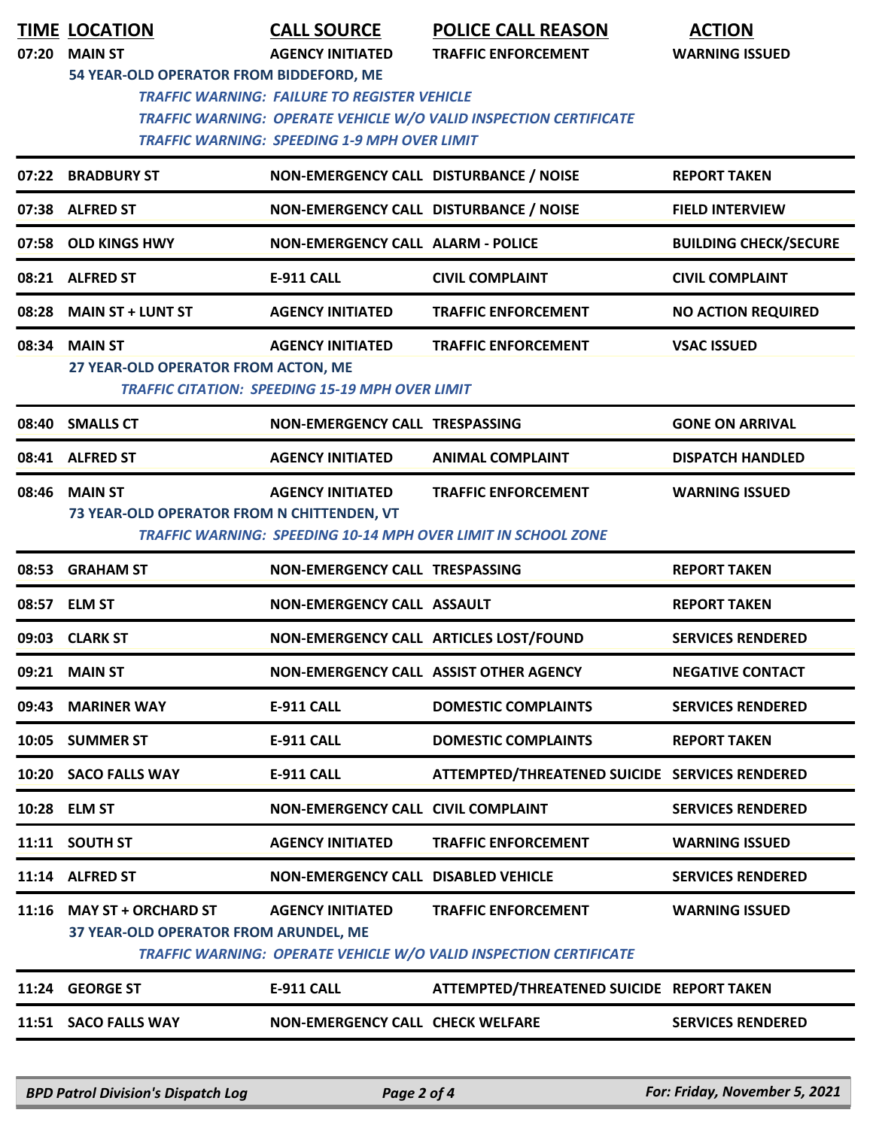|       | <b>TIME LOCATION</b>                                               | <b>CALL SOURCE</b>                                                                                         | <b>POLICE CALL REASON</b>                                                                          | <b>ACTION</b>                |
|-------|--------------------------------------------------------------------|------------------------------------------------------------------------------------------------------------|----------------------------------------------------------------------------------------------------|------------------------------|
| 07:20 | <b>MAIN ST</b>                                                     | <b>AGENCY INITIATED</b>                                                                                    | <b>TRAFFIC ENFORCEMENT</b>                                                                         | <b>WARNING ISSUED</b>        |
|       | 54 YEAR-OLD OPERATOR FROM BIDDEFORD, ME                            | <b>TRAFFIC WARNING: FAILURE TO REGISTER VEHICLE</b><br><b>TRAFFIC WARNING: SPEEDING 1-9 MPH OVER LIMIT</b> | <b>TRAFFIC WARNING: OPERATE VEHICLE W/O VALID INSPECTION CERTIFICATE</b>                           |                              |
| 07:22 | <b>BRADBURY ST</b>                                                 | NON-EMERGENCY CALL DISTURBANCE / NOISE                                                                     |                                                                                                    | <b>REPORT TAKEN</b>          |
| 07:38 | <b>ALFRED ST</b>                                                   | NON-EMERGENCY CALL DISTURBANCE / NOISE                                                                     |                                                                                                    | <b>FIELD INTERVIEW</b>       |
|       | 07:58 OLD KINGS HWY                                                | <b>NON-EMERGENCY CALL ALARM - POLICE</b>                                                                   |                                                                                                    | <b>BUILDING CHECK/SECURE</b> |
|       | 08:21 ALFRED ST                                                    | <b>E-911 CALL</b>                                                                                          | <b>CIVIL COMPLAINT</b>                                                                             | <b>CIVIL COMPLAINT</b>       |
|       | 08:28 MAIN ST + LUNT ST                                            | <b>AGENCY INITIATED</b>                                                                                    | <b>TRAFFIC ENFORCEMENT</b>                                                                         | <b>NO ACTION REQUIRED</b>    |
| 08:34 | <b>MAIN ST</b><br>27 YEAR-OLD OPERATOR FROM ACTON, ME              | <b>AGENCY INITIATED</b><br><b>TRAFFIC CITATION: SPEEDING 15-19 MPH OVER LIMIT</b>                          | <b>TRAFFIC ENFORCEMENT</b>                                                                         | <b>VSAC ISSUED</b>           |
|       | 08:40 SMALLS CT                                                    | NON-EMERGENCY CALL TRESPASSING                                                                             |                                                                                                    | <b>GONE ON ARRIVAL</b>       |
|       | 08:41 ALFRED ST                                                    | <b>AGENCY INITIATED</b>                                                                                    | <b>ANIMAL COMPLAINT</b>                                                                            | <b>DISPATCH HANDLED</b>      |
|       | 08:46 MAIN ST<br>73 YEAR-OLD OPERATOR FROM N CHITTENDEN, VT        | <b>AGENCY INITIATED</b>                                                                                    | <b>TRAFFIC ENFORCEMENT</b><br><b>TRAFFIC WARNING: SPEEDING 10-14 MPH OVER LIMIT IN SCHOOL ZONE</b> | <b>WARNING ISSUED</b>        |
|       | 08:53 GRAHAM ST                                                    | NON-EMERGENCY CALL TRESPASSING                                                                             |                                                                                                    | <b>REPORT TAKEN</b>          |
|       | 08:57 ELM ST                                                       | <b>NON-EMERGENCY CALL ASSAULT</b>                                                                          |                                                                                                    | <b>REPORT TAKEN</b>          |
|       | 09:03 CLARK ST                                                     |                                                                                                            | NON-EMERGENCY CALL ARTICLES LOST/FOUND                                                             | <b>SERVICES RENDERED</b>     |
|       | 09:21 MAIN ST                                                      |                                                                                                            | NON-EMERGENCY CALL ASSIST OTHER AGENCY                                                             | <b>NEGATIVE CONTACT</b>      |
|       | 09:43 MARINER WAY                                                  | <b>E-911 CALL</b>                                                                                          | <b>DOMESTIC COMPLAINTS</b>                                                                         | <b>SERVICES RENDERED</b>     |
|       | 10:05 SUMMER ST                                                    | E-911 CALL                                                                                                 | <b>DOMESTIC COMPLAINTS</b>                                                                         | <b>REPORT TAKEN</b>          |
|       | 10:20 SACO FALLS WAY                                               | <b>E-911 CALL</b>                                                                                          | ATTEMPTED/THREATENED SUICIDE SERVICES RENDERED                                                     |                              |
|       | 10:28 ELM ST                                                       | <b>NON-EMERGENCY CALL CIVIL COMPLAINT</b>                                                                  |                                                                                                    | <b>SERVICES RENDERED</b>     |
|       | 11:11 SOUTH ST                                                     | <b>AGENCY INITIATED</b>                                                                                    | <b>TRAFFIC ENFORCEMENT</b>                                                                         | <b>WARNING ISSUED</b>        |
|       | 11:14 ALFRED ST                                                    | NON-EMERGENCY CALL DISABLED VEHICLE                                                                        |                                                                                                    | <b>SERVICES RENDERED</b>     |
|       | 11:16 MAY ST + ORCHARD ST<br>37 YEAR-OLD OPERATOR FROM ARUNDEL, ME | <b>AGENCY INITIATED</b>                                                                                    | <b>TRAFFIC ENFORCEMENT</b><br>TRAFFIC WARNING: OPERATE VEHICLE W/O VALID INSPECTION CERTIFICATE    | <b>WARNING ISSUED</b>        |
|       | 11:24 GEORGE ST                                                    | <b>E-911 CALL</b>                                                                                          | ATTEMPTED/THREATENED SUICIDE REPORT TAKEN                                                          |                              |
|       | 11:51 SACO FALLS WAY                                               | <b>NON-EMERGENCY CALL CHECK WELFARE</b>                                                                    |                                                                                                    | <b>SERVICES RENDERED</b>     |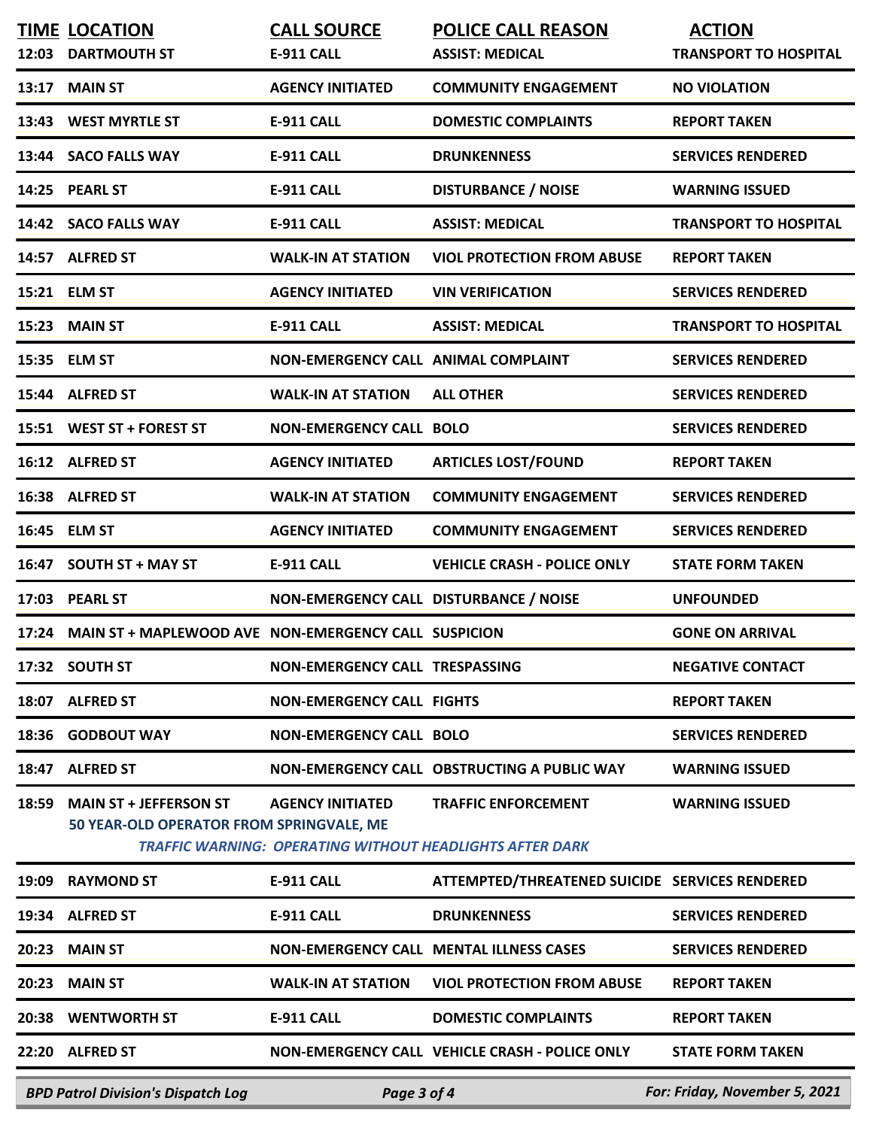| 12:03 | <b>TIME LOCATION</b><br><b>DARTMOUTH ST</b>                               | <b>CALL SOURCE</b><br>E-911 CALL       | <b>POLICE CALL REASON</b><br><b>ASSIST: MEDICAL</b>                                           | <b>ACTION</b><br><b>TRANSPORT TO HOSPITAL</b> |
|-------|---------------------------------------------------------------------------|----------------------------------------|-----------------------------------------------------------------------------------------------|-----------------------------------------------|
| 13:17 | <b>MAIN ST</b>                                                            | <b>AGENCY INITIATED</b>                | <b>COMMUNITY ENGAGEMENT</b>                                                                   | <b>NO VIOLATION</b>                           |
| 13:43 | <b>WEST MYRTLE ST</b>                                                     | <b>E-911 CALL</b>                      | <b>DOMESTIC COMPLAINTS</b>                                                                    | <b>REPORT TAKEN</b>                           |
|       | 13:44 SACO FALLS WAY                                                      | <b>E-911 CALL</b>                      | <b>DRUNKENNESS</b>                                                                            | <b>SERVICES RENDERED</b>                      |
|       | 14:25 PEARL ST                                                            | <b>E-911 CALL</b>                      | <b>DISTURBANCE / NOISE</b>                                                                    | <b>WARNING ISSUED</b>                         |
|       | 14:42 SACO FALLS WAY                                                      | <b>E-911 CALL</b>                      | <b>ASSIST: MEDICAL</b>                                                                        | <b>TRANSPORT TO HOSPITAL</b>                  |
|       | 14:57 ALFRED ST                                                           | <b>WALK-IN AT STATION</b>              | <b>VIOL PROTECTION FROM ABUSE</b>                                                             | <b>REPORT TAKEN</b>                           |
|       | 15:21 ELM ST                                                              | <b>AGENCY INITIATED</b>                | <b>VIN VERIFICATION</b>                                                                       | <b>SERVICES RENDERED</b>                      |
| 15:23 | <b>MAIN ST</b>                                                            | <b>E-911 CALL</b>                      | <b>ASSIST: MEDICAL</b>                                                                        | <b>TRANSPORT TO HOSPITAL</b>                  |
|       | 15:35 ELM ST                                                              | NON-EMERGENCY CALL ANIMAL COMPLAINT    |                                                                                               | <b>SERVICES RENDERED</b>                      |
|       | 15:44 ALFRED ST                                                           | <b>WALK-IN AT STATION</b>              | <b>ALL OTHER</b>                                                                              | <b>SERVICES RENDERED</b>                      |
|       | 15:51 WEST ST + FOREST ST                                                 | <b>NON-EMERGENCY CALL BOLO</b>         |                                                                                               | <b>SERVICES RENDERED</b>                      |
|       | 16:12 ALFRED ST                                                           | <b>AGENCY INITIATED</b>                | <b>ARTICLES LOST/FOUND</b>                                                                    | <b>REPORT TAKEN</b>                           |
|       | 16:38 ALFRED ST                                                           | <b>WALK-IN AT STATION</b>              | <b>COMMUNITY ENGAGEMENT</b>                                                                   | <b>SERVICES RENDERED</b>                      |
|       | 16:45 ELM ST                                                              | <b>AGENCY INITIATED</b>                | <b>COMMUNITY ENGAGEMENT</b>                                                                   | <b>SERVICES RENDERED</b>                      |
| 16:47 | <b>SOUTH ST + MAY ST</b>                                                  | <b>E-911 CALL</b>                      | <b>VEHICLE CRASH - POLICE ONLY</b>                                                            | <b>STATE FORM TAKEN</b>                       |
| 17:03 | <b>PEARL ST</b>                                                           | NON-EMERGENCY CALL DISTURBANCE / NOISE |                                                                                               | <b>UNFOUNDED</b>                              |
| 17:24 | MAIN ST + MAPLEWOOD AVE NON-EMERGENCY CALL SUSPICION                      |                                        |                                                                                               | <b>GONE ON ARRIVAL</b>                        |
|       | 17:32 SOUTH ST                                                            | NON-EMERGENCY CALL TRESPASSING         |                                                                                               | <b>NEGATIVE CONTACT</b>                       |
|       | 18:07 ALFRED ST                                                           | <b>NON-EMERGENCY CALL FIGHTS</b>       |                                                                                               | <b>REPORT TAKEN</b>                           |
| 18:36 | <b>GODBOUT WAY</b>                                                        | <b>NON-EMERGENCY CALL BOLO</b>         |                                                                                               | <b>SERVICES RENDERED</b>                      |
| 18:47 | <b>ALFRED ST</b>                                                          |                                        | NON-EMERGENCY CALL OBSTRUCTING A PUBLIC WAY                                                   | <b>WARNING ISSUED</b>                         |
| 18:59 | <b>MAIN ST + JEFFERSON ST</b><br>50 YEAR-OLD OPERATOR FROM SPRINGVALE, ME | <b>AGENCY INITIATED</b>                | <b>TRAFFIC ENFORCEMENT</b><br><b>TRAFFIC WARNING: OPERATING WITHOUT HEADLIGHTS AFTER DARK</b> | <b>WARNING ISSUED</b>                         |
| 19:09 | <b>RAYMOND ST</b>                                                         | <b>E-911 CALL</b>                      | ATTEMPTED/THREATENED SUICIDE SERVICES RENDERED                                                |                                               |
|       | 19:34 ALFRED ST                                                           | <b>E-911 CALL</b>                      | <b>DRUNKENNESS</b>                                                                            | <b>SERVICES RENDERED</b>                      |
| 20:23 | <b>MAIN ST</b>                                                            |                                        | NON-EMERGENCY CALL MENTAL ILLNESS CASES                                                       | <b>SERVICES RENDERED</b>                      |
| 20:23 | <b>MAIN ST</b>                                                            | <b>WALK-IN AT STATION</b>              | <b>VIOL PROTECTION FROM ABUSE</b>                                                             | <b>REPORT TAKEN</b>                           |
|       | 20:38 WENTWORTH ST                                                        | <b>E-911 CALL</b>                      | <b>DOMESTIC COMPLAINTS</b>                                                                    | <b>REPORT TAKEN</b>                           |
|       | 22:20 ALFRED ST                                                           |                                        | NON-EMERGENCY CALL VEHICLE CRASH - POLICE ONLY                                                | <b>STATE FORM TAKEN</b>                       |
|       | <b>BPD Patrol Division's Dispatch Log</b>                                 | Page 3 of 4                            |                                                                                               | For: Friday, November 5, 2021                 |